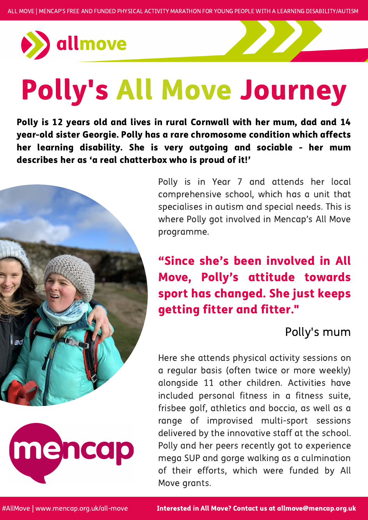

# Polly's All Move Journey

#AllMove | www.mencap.org.uk/all-move

Polly is in Year 7 and attends her local comprehensive school, which has a unit that specialises in autism and special needs. This is where Polly got involved in Mencap's All Move programme.

Here she attends physical activity sessions on a regular basis (often twice or more weekly) alongside 11 other children. Activities have included personal fitness in a fitness suite, frisbee golf, athletics and boccia, as well as a range of improvised multi-sport sessions delivered by the innovative staff at the school. Polly and her peers recently got to experience mega SUP and gorge walking as a culmination of their efforts, which were funded by All Move grants.

Polly is 12 years old and lives in rural Cornwall with her mum, dad and 14 year-old sister Georgie. Polly has a rare chromosome condition which affects her learning disability. She is very outgoing and sociable - her mum describes her as 'a real chatterbox who is proud of it!'



### "Since she's been involved in All Move, Polly's attitude towards



sport has changed. She just keeps getting fitter and fitter. "

#### Polly's mum

Interested in All Move? Contact us at allmove@mencap.org.uk